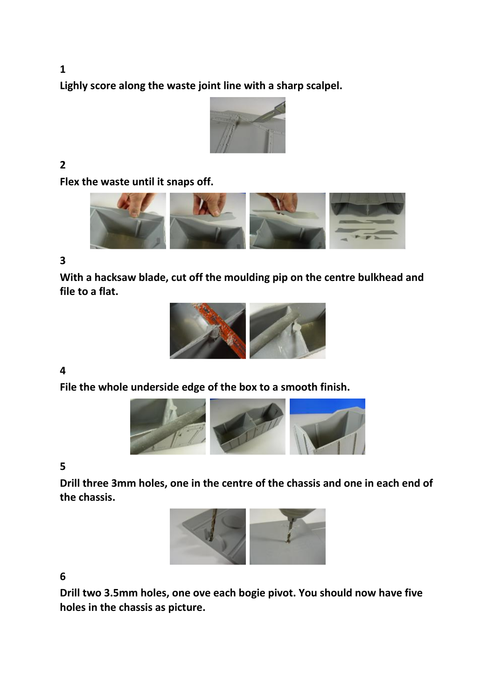**Lighly score along the waste joint line with a sharp scalpel.**



# **2**

**Flex the waste until it snaps off.**



#### **3**

**With a hacksaw blade, cut off the moulding pip on the centre bulkhead and file to a flat.**



#### **4**

**File the whole underside edge of the box to a smooth finish.**



#### **5**

**Drill three 3mm holes, one in the centre of the chassis and one in each end of the chassis.**



## **6**

**Drill two 3.5mm holes, one ove each bogie pivot. You should now have five holes in the chassis as picture.**

**1**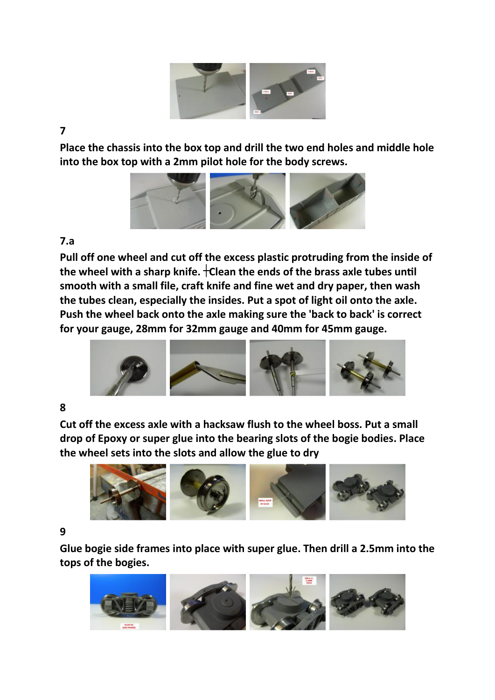

**7** 

**Place the chassis into the box top and drill the two end holes and middle hole into the box top with a 2mm pilot hole for the body screws.**



#### **7.a**

**Pull off one wheel and cut off the excess plastic protruding from the inside of**  the wheel with a sharp knife.  $\pm$ Clean the ends of the brass axle tubes until **smooth with a small file, craft knife and fine wet and dry paper, then wash the tubes clean, especially the insides. Put a spot of light oil onto the axle. Push the wheel back onto the axle making sure the 'back to back' is correct for your gauge, 28mm for 32mm gauge and 40mm for 45mm gauge.**



## **8**

**Cut off the excess axle with a hacksaw flush to the wheel boss. Put a small drop of Epoxy or super glue into the bearing slots of the bogie bodies. Place the wheel sets into the slots and allow the glue to dry**



## **9**

**Glue bogie side frames into place with super glue. Then drill a 2.5mm into the tops of the bogies.**